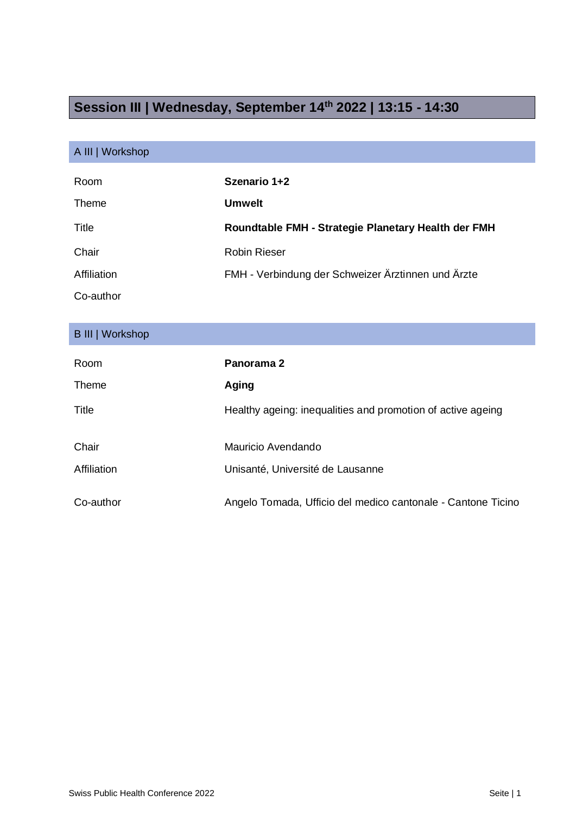## **Session III | Wednesday, September 14 th 2022 | 13:15 - 14:30**

## A III | Workshop

| Room        | Szenario 1+2                                        |
|-------------|-----------------------------------------------------|
| Theme       | <b>Umwelt</b>                                       |
| Title       | Roundtable FMH - Strategie Planetary Health der FMH |
| Chair       | Robin Rieser                                        |
| Affiliation | FMH - Verbindung der Schweizer Ärztinnen und Ärzte  |
| Co-author   |                                                     |

## B III | Workshop

| Room        | Panorama 2                                                   |
|-------------|--------------------------------------------------------------|
| Theme       | Aging                                                        |
| Title       | Healthy ageing: inequalities and promotion of active ageing  |
| Chair       | Mauricio Avendando                                           |
| Affiliation | Unisanté, Université de Lausanne                             |
| Co-author   | Angelo Tomada, Ufficio del medico cantonale - Cantone Ticino |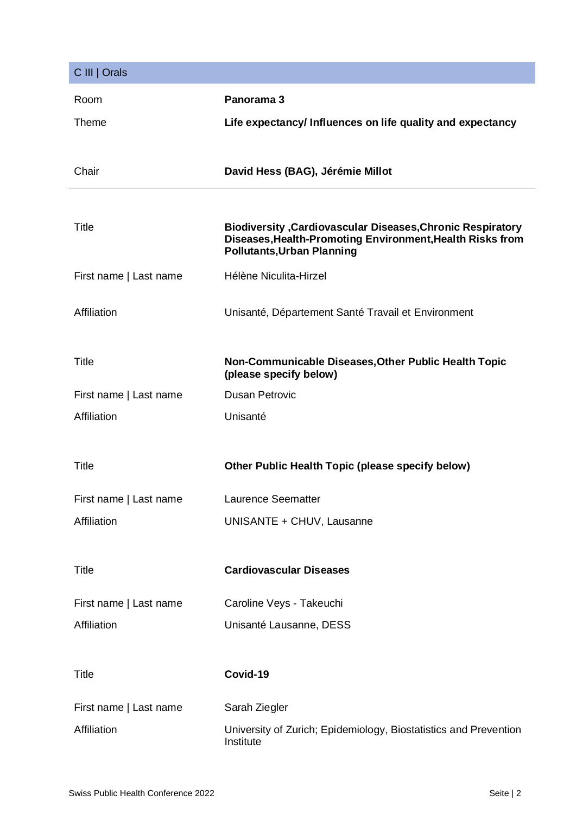| C III   Orals          |                                                                                                                                                                      |
|------------------------|----------------------------------------------------------------------------------------------------------------------------------------------------------------------|
| Room                   | Panorama 3                                                                                                                                                           |
| Theme                  | Life expectancy/ Influences on life quality and expectancy                                                                                                           |
|                        |                                                                                                                                                                      |
| Chair                  | David Hess (BAG), Jérémie Millot                                                                                                                                     |
|                        |                                                                                                                                                                      |
| <b>Title</b>           | <b>Biodiversity , Cardiovascular Diseases, Chronic Respiratory</b><br>Diseases, Health-Promoting Environment, Health Risks from<br><b>Pollutants, Urban Planning</b> |
| First name   Last name | Hélène Niculita-Hirzel                                                                                                                                               |
| Affiliation            | Unisanté, Département Santé Travail et Environment                                                                                                                   |
| Title                  | Non-Communicable Diseases, Other Public Health Topic<br>(please specify below)                                                                                       |
| First name   Last name | <b>Dusan Petrovic</b>                                                                                                                                                |
| Affiliation            | Unisanté                                                                                                                                                             |
| <b>Title</b>           |                                                                                                                                                                      |
|                        | Other Public Health Topic (please specify below)                                                                                                                     |
| First name   Last name | Laurence Seematter                                                                                                                                                   |
| Affiliation            | UNISANTE + CHUV, Lausanne                                                                                                                                            |
| <b>Title</b>           | <b>Cardiovascular Diseases</b>                                                                                                                                       |
|                        |                                                                                                                                                                      |
| First name   Last name | Caroline Veys - Takeuchi                                                                                                                                             |
| Affiliation            | Unisanté Lausanne, DESS                                                                                                                                              |
| <b>Title</b>           | Covid-19                                                                                                                                                             |
| First name   Last name | Sarah Ziegler                                                                                                                                                        |
| Affiliation            | University of Zurich; Epidemiology, Biostatistics and Prevention<br>Institute                                                                                        |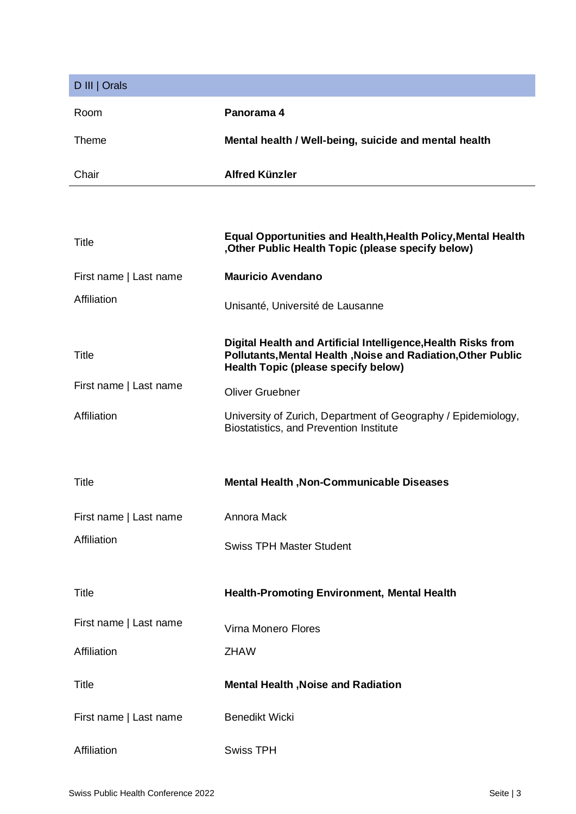| D III   Orals          |                                                                                                                                                                             |
|------------------------|-----------------------------------------------------------------------------------------------------------------------------------------------------------------------------|
|                        |                                                                                                                                                                             |
| Room                   | Panorama 4                                                                                                                                                                  |
| Theme                  | Mental health / Well-being, suicide and mental health                                                                                                                       |
| Chair                  | <b>Alfred Künzler</b>                                                                                                                                                       |
|                        |                                                                                                                                                                             |
| Title                  | <b>Equal Opportunities and Health, Health Policy, Mental Health</b><br>Other Public Health Topic (please specify below),                                                    |
| First name   Last name | <b>Mauricio Avendano</b>                                                                                                                                                    |
| Affiliation            | Unisanté, Université de Lausanne                                                                                                                                            |
| <b>Title</b>           | Digital Health and Artificial Intelligence, Health Risks from<br>Pollutants, Mental Health, Noise and Radiation, Other Public<br><b>Health Topic (please specify below)</b> |
| First name   Last name | <b>Oliver Gruebner</b>                                                                                                                                                      |
| Affiliation            | University of Zurich, Department of Geography / Epidemiology,<br>Biostatistics, and Prevention Institute                                                                    |
| Title                  | <b>Mental Health, Non-Communicable Diseases</b>                                                                                                                             |
|                        |                                                                                                                                                                             |
| First name   Last name | Annora Mack                                                                                                                                                                 |
| Affiliation            | <b>Swiss TPH Master Student</b>                                                                                                                                             |
| <b>Title</b>           | <b>Health-Promoting Environment, Mental Health</b>                                                                                                                          |
| First name   Last name | Virna Monero Flores                                                                                                                                                         |
| Affiliation            | <b>ZHAW</b>                                                                                                                                                                 |
| <b>Title</b>           | <b>Mental Health , Noise and Radiation</b>                                                                                                                                  |
| First name   Last name | <b>Benedikt Wicki</b>                                                                                                                                                       |
| Affiliation            | <b>Swiss TPH</b>                                                                                                                                                            |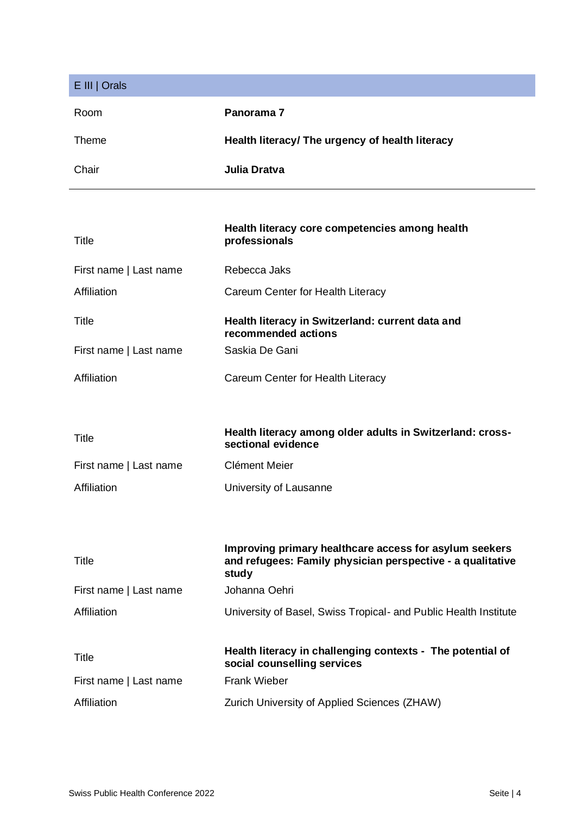| E III   Orals          |                                                                                                                               |
|------------------------|-------------------------------------------------------------------------------------------------------------------------------|
| Room                   | Panorama <sub>7</sub>                                                                                                         |
| Theme                  | Health literacy/ The urgency of health literacy                                                                               |
| Chair                  | Julia Dratva                                                                                                                  |
|                        |                                                                                                                               |
| Title                  | Health literacy core competencies among health<br>professionals                                                               |
| First name   Last name | Rebecca Jaks                                                                                                                  |
| Affiliation            | Careum Center for Health Literacy                                                                                             |
| <b>Title</b>           | Health literacy in Switzerland: current data and<br>recommended actions                                                       |
| First name   Last name | Saskia De Gani                                                                                                                |
| Affiliation            | Careum Center for Health Literacy                                                                                             |
|                        |                                                                                                                               |
| Title                  | Health literacy among older adults in Switzerland: cross-<br>sectional evidence                                               |
| First name   Last name | <b>Clément Meier</b>                                                                                                          |
| Affiliation            | University of Lausanne                                                                                                        |
|                        |                                                                                                                               |
| Title                  | Improving primary healthcare access for asylum seekers<br>and refugees: Family physician perspective - a qualitative<br>study |
| First name   Last name | Johanna Oehri                                                                                                                 |
| Affiliation            | University of Basel, Swiss Tropical- and Public Health Institute                                                              |
| Title                  | Health literacy in challenging contexts - The potential of<br>social counselling services                                     |
| First name   Last name | <b>Frank Wieber</b>                                                                                                           |
| Affiliation            | Zurich University of Applied Sciences (ZHAW)                                                                                  |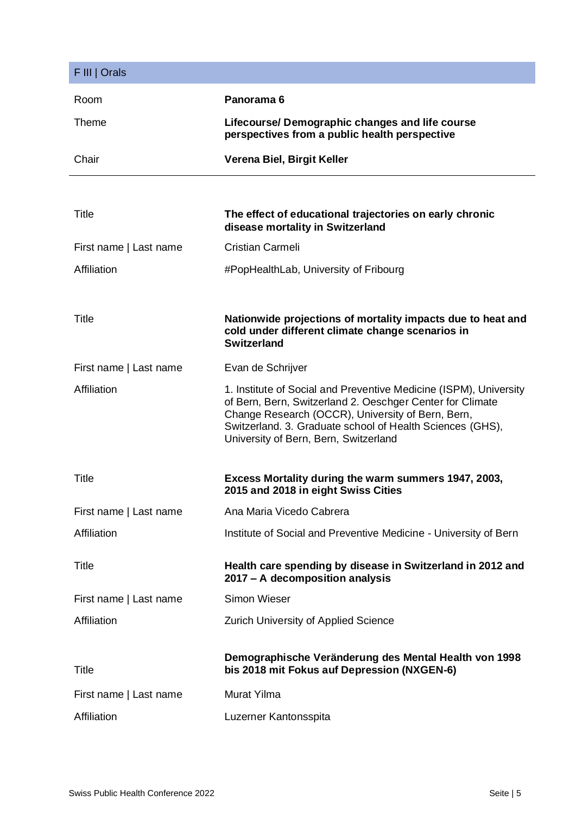| F III   Orals          |                                                                                                                                                                                                                                                                                           |
|------------------------|-------------------------------------------------------------------------------------------------------------------------------------------------------------------------------------------------------------------------------------------------------------------------------------------|
| Room                   | Panorama <sub>6</sub>                                                                                                                                                                                                                                                                     |
| Theme                  | Lifecourse/ Demographic changes and life course<br>perspectives from a public health perspective                                                                                                                                                                                          |
| Chair                  | Verena Biel, Birgit Keller                                                                                                                                                                                                                                                                |
|                        |                                                                                                                                                                                                                                                                                           |
| <b>Title</b>           | The effect of educational trajectories on early chronic<br>disease mortality in Switzerland                                                                                                                                                                                               |
| First name   Last name | Cristian Carmeli                                                                                                                                                                                                                                                                          |
| Affiliation            | #PopHealthLab, University of Fribourg                                                                                                                                                                                                                                                     |
|                        |                                                                                                                                                                                                                                                                                           |
| <b>Title</b>           | Nationwide projections of mortality impacts due to heat and<br>cold under different climate change scenarios in<br><b>Switzerland</b>                                                                                                                                                     |
| First name   Last name | Evan de Schrijver                                                                                                                                                                                                                                                                         |
| Affiliation            | 1. Institute of Social and Preventive Medicine (ISPM), University<br>of Bern, Bern, Switzerland 2. Oeschger Center for Climate<br>Change Research (OCCR), University of Bern, Bern,<br>Switzerland. 3. Graduate school of Health Sciences (GHS),<br>University of Bern, Bern, Switzerland |
| <b>Title</b>           | Excess Mortality during the warm summers 1947, 2003,<br>2015 and 2018 in eight Swiss Cities                                                                                                                                                                                               |
| First name   Last name | Ana Maria Vicedo Cabrera                                                                                                                                                                                                                                                                  |
| Affiliation            | Institute of Social and Preventive Medicine - University of Bern                                                                                                                                                                                                                          |
| <b>Title</b>           | Health care spending by disease in Switzerland in 2012 and<br>2017 - A decomposition analysis                                                                                                                                                                                             |
| First name   Last name | <b>Simon Wieser</b>                                                                                                                                                                                                                                                                       |
| Affiliation            | <b>Zurich University of Applied Science</b>                                                                                                                                                                                                                                               |
| <b>Title</b>           | Demographische Veränderung des Mental Health von 1998<br>bis 2018 mit Fokus auf Depression (NXGEN-6)                                                                                                                                                                                      |
| First name   Last name | <b>Murat Yilma</b>                                                                                                                                                                                                                                                                        |
| Affiliation            | Luzerner Kantonsspita                                                                                                                                                                                                                                                                     |